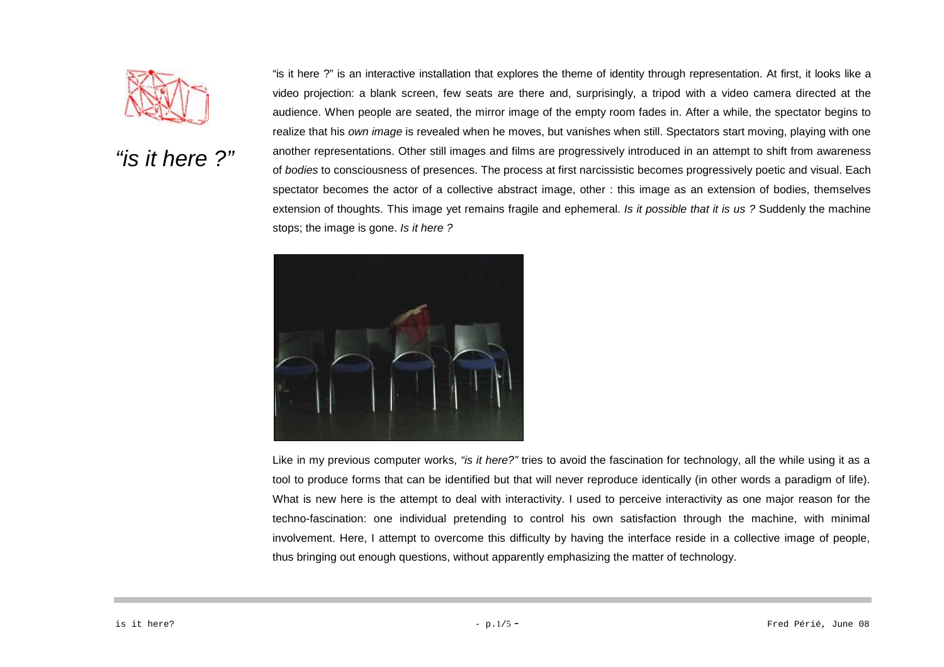

"is it here  $2"$ video projection: a blank screen, few seats are there and, surprisingly, a tripod with a video camera directed at the audience. When people are seated, the mirror image of the empty room fades in. After a while, the spectator begins to realize that his own image is revealed when he moves, but vanishes when still. Spectators start moving, playing with one another representations. Other still images and films are progressively introduced in an attempt to shift from awareness of bodies to consciousness of presences. The process at first narcissistic becomes progressively poetic and visual. Each spectator becomes the actor of a collective abstract image, other : this image as an extension of bodies, themselves extension of thoughts. This image yet remains fragile and ephemeral. *Is it possible that it is us?* Suddenly the machine stops; the image is gone. Is it here ?

"is it here ?" is an interactive installation that explores the theme of identity through representation. At first, it looks like a



Like in my previous computer works, "is it here?" tries to avoid the fascination for technology, all the while using it as a tool to produce forms that can be identified but that will never reproduce identically (in other words a paradigm of life). What is new here is the attempt to deal with interactivity. I used to perceive interactivity as one major reason for the techno-fascination: one individual pretending to control his own satisfaction through the machine, with minimal involvement. Here, I attempt to overcome this difficulty by having the interface reside in a collective image of people, thus bringing out enough questions, without apparently emphasizing the matter of technology.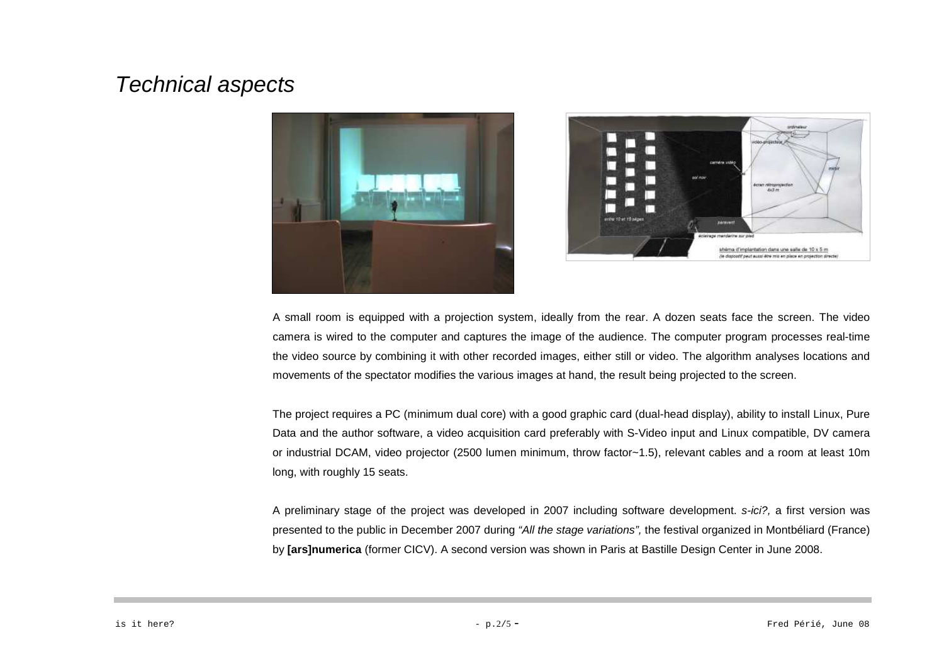## Technical aspects





A small room is equipped with a projection system, ideally from the rear. A dozen seats face the screen. The video camera is wired to the computer and captures the image of the audience. The computer program processes real-time the video source by combining it with other recorded images, either still or video. The algorithm analyses locations and movements of the spectator modifies the various images at hand, the result being projected to the screen.

The project requires a PC (minimum dual core) with a good graphic card (dual-head display), ability to install Linux, Pure Data and the author software, a video acquisition card preferably with S-Video input and Linux compatible, DV camera or industrial DCAM, video projector (2500 lumen minimum, throw factor~1.5), relevant cables and a room at least 10m long, with roughly 15 seats.

A preliminary stage of the project was developed in 2007 including software development. s-ici?, a first version was presented to the public in December 2007 during "All the stage variations", the festival organized in Montbéliard (France) by **[ars]numerica** (former CICV). A second version was shown in Paris at Bastille Design Center in June 2008.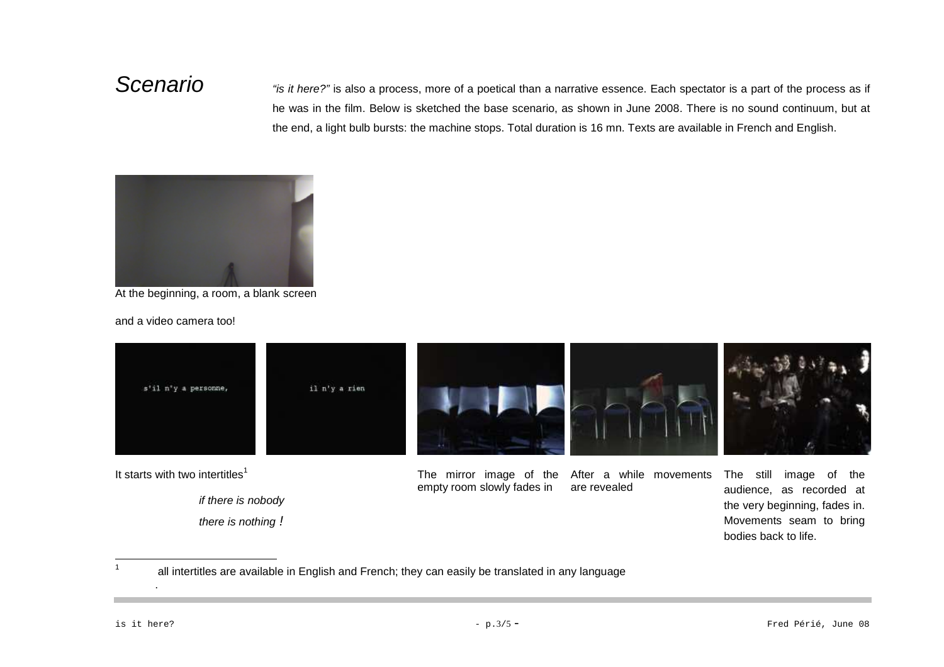Scenario "is it here?" is also a process, more of a poetical than a narrative essence. Each spectator is a part of the process as if he was in the film. Below is sketched the base scenario, as shown in June 2008. There is no sound continuum, but at the end, a light bulb bursts: the machine stops. Total duration is 16 mn. Texts are available in French and English.



At the beginning, a room, a blank screen

and a video camera too!



if there is nobody there is nothing !

empty room slowly fades inare revealed

audience, as recorded at the very beginning, fades in. Movements seam to bring bodies back to life.

1all intertitles are available in English and French; they can easily be translated in any language

.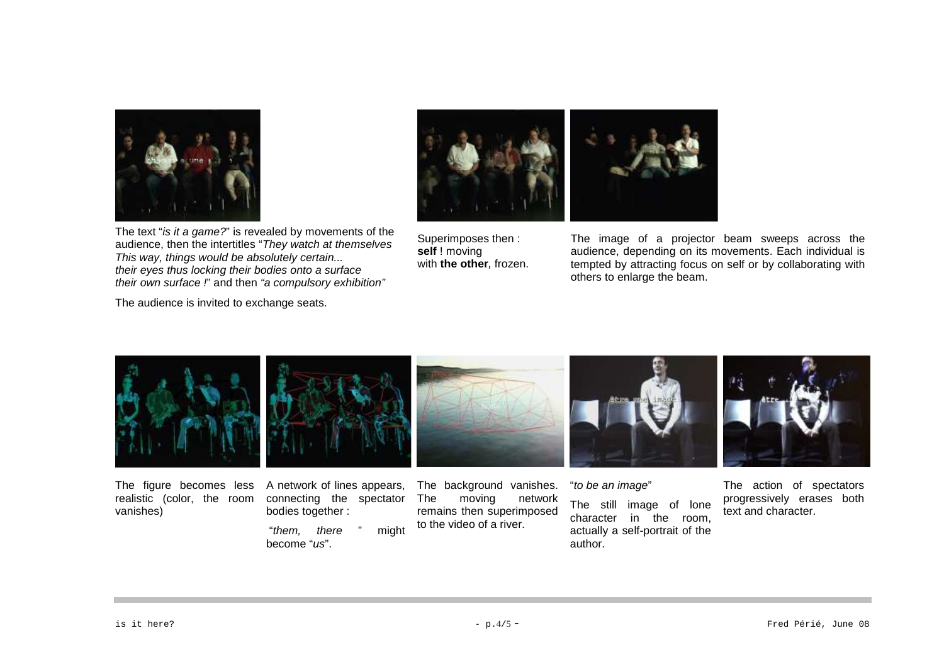



The text "is it a game?" is revealed by movements of the audience, then the intertitles "They watch at themselves This way, things would be absolutely certain... their eyes thus locking their bodies onto a surfacetheir own surface !" and then "a compulsory exhibition"

The audience is invited to exchange seats.

Superimposes then : **self** ! moving with **the other**, frozen.

The image of a projector beam sweeps across the audience, depending on its movements. Each individual is tempted by attracting focus on self or by collaborating with others to enlarge the beam.



The figure becomes less realistic (color, the room vanishes)

A network of lines appears, connecting the spectator bodies together :

 "them, there " might become "us".

The background vanishes. The moving network remains then superimposed to the video of a river.

"to be an image"

The still image of lone character in the room, actually a self-portrait of the author.

The action of spectators progressively erases both text and character.